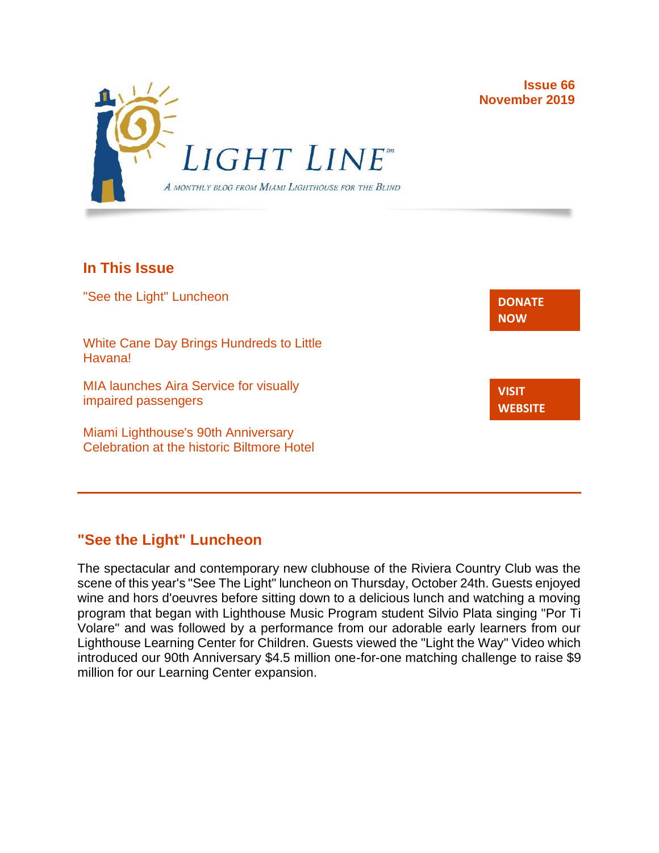

### **In This Issue**

"See the Light" Luncheon White Cane Day Brings Hundreds to Little Havana! MIA launches Aira Service for visually impaired passengers Miami Lighthouse's 90th Anniversary Celebration at the historic Biltmore Hotel **[DONATE](http://r20.rs6.net/tn.jsp?f=001gO2GdS4FPEo240mg91k3c6HYN6ozMk69i8vrHipkUVt0nirc6iRjFsnZMWQfGpPyX5jA608dzGsffulXhDWN87JpF0RNMOsrEiEcR9KIVEjaVePiHS9eny3wE9Zh3DibFuDj7zvtMQCXwVbtALXi3_cnEJaT8XURz8jTt9N4yGe0rF3VoM8Y5mGhwRavYQ9CBe_fM4GbcQM=&c=A5xWHdmKDISdqoVssYAkMfhtdAlzuVskAHp3ASewWzRv5OnB7XubeA==&ch=KFi9wV6k5Z13Ef8Qia4fM-L584mfsNs0RWKjkNv-Bombmn4mZKg5Lw==) NOW VISIT [WEBSITE](http://r20.rs6.net/tn.jsp?f=001gO2GdS4FPEo240mg91k3c6HYN6ozMk69i8vrHipkUVt0nirc6iRjFp5OLUPp5xz8iJ7cM7NxB4ho-pmJZegg-UUCCff2BfEg0hVFNWmithw5L76cpbdpMlw1ZgIRlQC6OwIp0zOZvc1jcAvQYtup6ODb3HvWFX4_CFaBZinytweEHJSIK44w1g==&c=A5xWHdmKDISdqoVssYAkMfhtdAlzuVskAHp3ASewWzRv5OnB7XubeA==&ch=KFi9wV6k5Z13Ef8Qia4fM-L584mfsNs0RWKjkNv-Bombmn4mZKg5Lw==)**

**Issue 66**

**November 2019**

## **"See the Light" Luncheon**

The spectacular and contemporary new clubhouse of the Riviera Country Club was the scene of this year's "See The Light" luncheon on Thursday, October 24th. Guests enjoyed wine and hors d'oeuvres before sitting down to a delicious lunch and watching a moving program that began with Lighthouse Music Program student Silvio Plata singing "Por Ti Volare" and was followed by a performance from our adorable early learners from our Lighthouse Learning Center for Children. Guests viewed the "Light the Way" Video which introduced our 90th Anniversary \$4.5 million one-for-one matching challenge to raise \$9 million for our Learning Center expansion.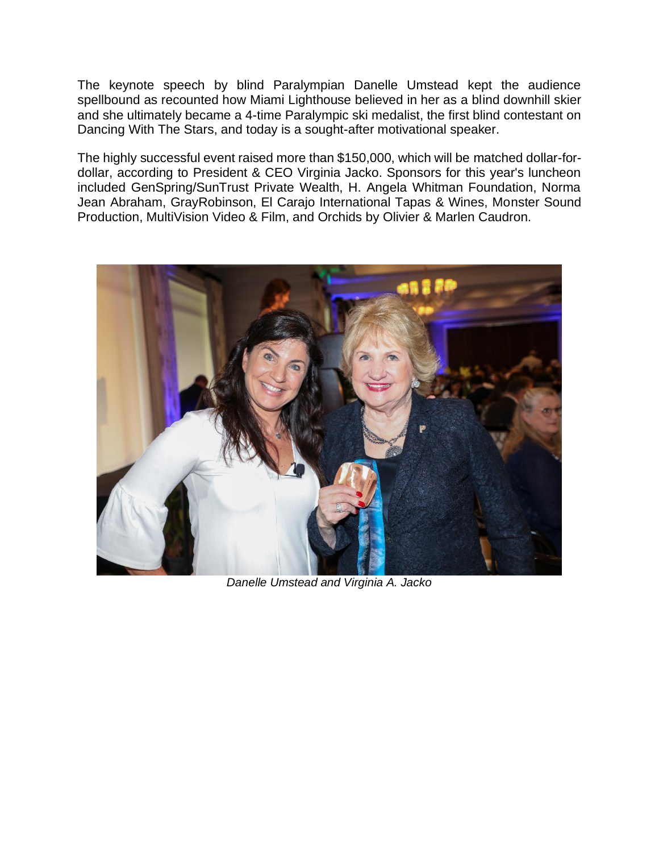The keynote speech by blind Paralympian Danelle Umstead kept the audience spellbound as recounted how Miami Lighthouse believed in her as a blind downhill skier and she ultimately became a 4-time Paralympic ski medalist, the first blind contestant on Dancing With The Stars, and today is a sought-after motivational speaker.

The highly successful event raised more than \$150,000, which will be matched dollar-fordollar, according to President & CEO Virginia Jacko. Sponsors for this year's luncheon included GenSpring/SunTrust Private Wealth, H. Angela Whitman Foundation, Norma Jean Abraham, GrayRobinson, El Carajo International Tapas & Wines, Monster Sound Production, MultiVision Video & Film, and Orchids by Olivier & Marlen Caudron.



*Danelle Umstead and Virginia A. Jacko*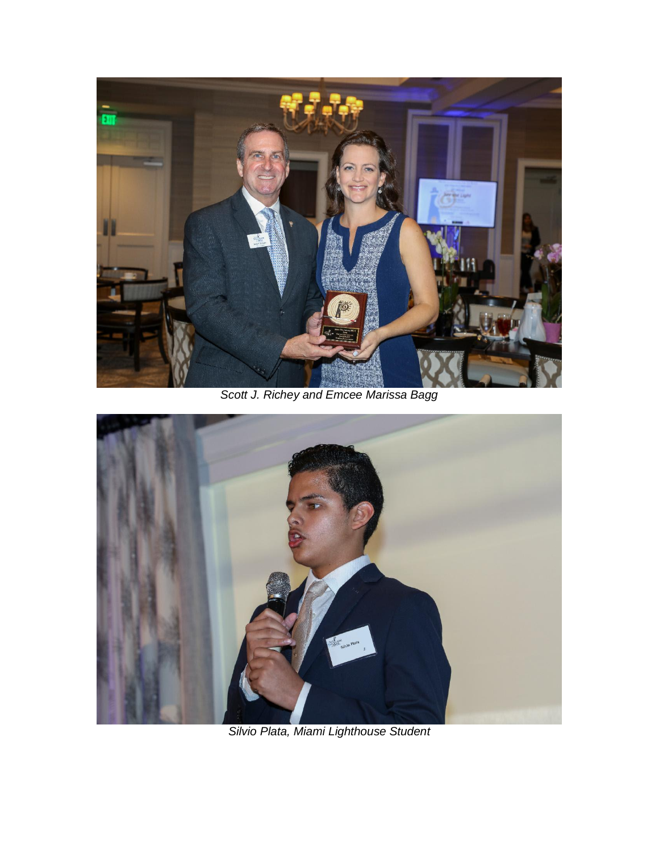

*Scott J. Richey and Emcee Marissa Bagg*



*Silvio Plata, Miami Lighthouse Student*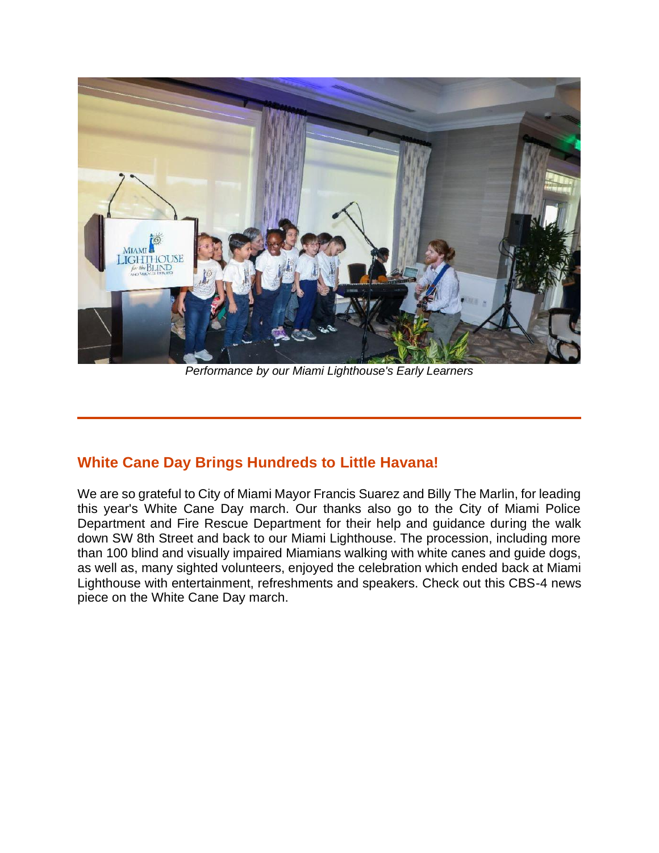

*Performance by our Miami Lighthouse's Early Learners*

### **White Cane Day Brings Hundreds to Little Havana!**

We are so grateful to City of Miami Mayor Francis Suarez and Billy The Marlin, for leading this year's White Cane Day march. Our thanks also go to the City of Miami Police Department and Fire Rescue Department for their help and guidance during the walk down SW 8th Street and back to our Miami Lighthouse. The procession, including more than 100 blind and visually impaired Miamians walking with white canes and guide dogs, as well as, many sighted volunteers, enjoyed the celebration which ended back at Miami Lighthouse with entertainment, refreshments and speakers. Check out this CBS-4 news piece on the White Cane Day march.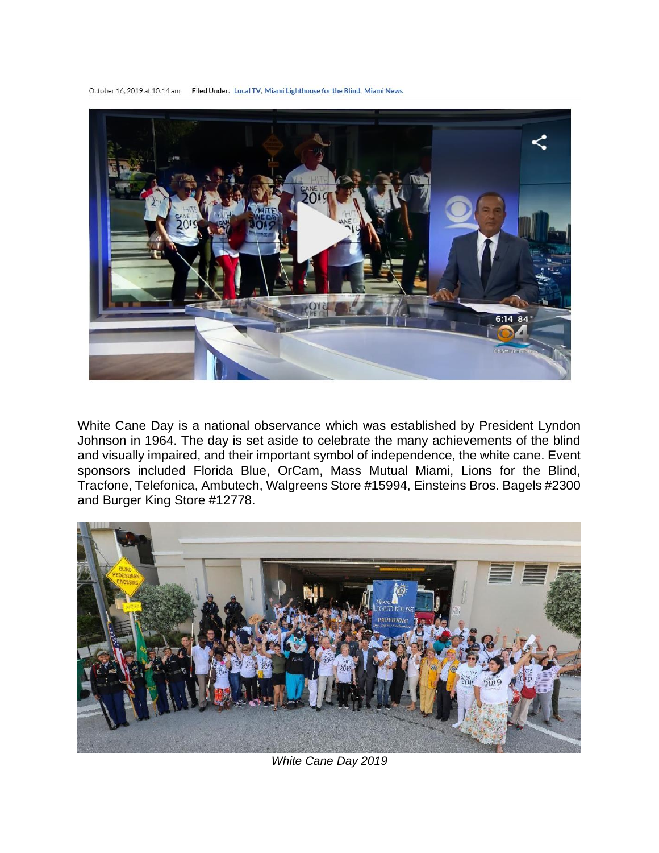October 16, 2019 at 10:14 am Filed Under: Local TV, Miami Lighthouse for the Blind, Miami News



White Cane Day is a national observance which was established by President Lyndon Johnson in 1964. The day is set aside to celebrate the many achievements of the blind and visually impaired, and their important symbol of independence, the white cane. Event sponsors included Florida Blue, OrCam, Mass Mutual Miami, Lions for the Blind, Tracfone, Telefonica, Ambutech, Walgreens Store #15994, Einsteins Bros. Bagels #2300 and Burger King Store #12778.



*White Cane Day 2019*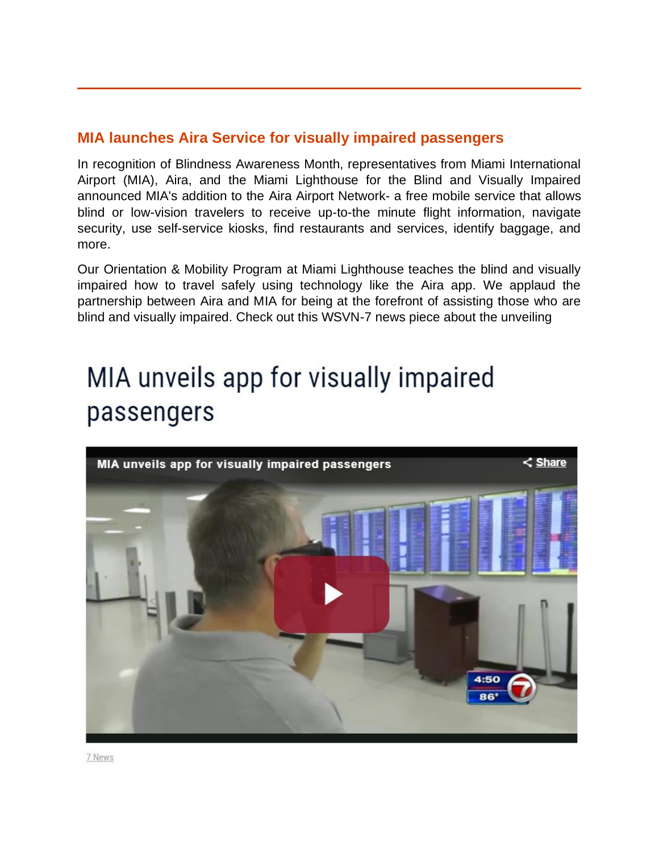### **MIA launches Aira Service for visually impaired passengers**

In recognition of Blindness Awareness Month, representatives from Miami International Airport (MIA), Aira, and the Miami Lighthouse for the Blind and Visually Impaired announced MIA's addition to the Aira Airport Network- a free mobile service that allows blind or low-vision travelers to receive up-to-the minute flight information, navigate security, use self-service kiosks, find restaurants and services, identify baggage, and more.

Our Orientation & Mobility Program at Miami Lighthouse teaches the blind and visually impaired how to travel safely using technology like the Aira app. We applaud the partnership between Aira and MIA for being at the forefront of assisting those who are blind and visually impaired. Check out this WSVN-7 news piece about the unveiling

# MIA unveils app for visually impaired passengers



7 News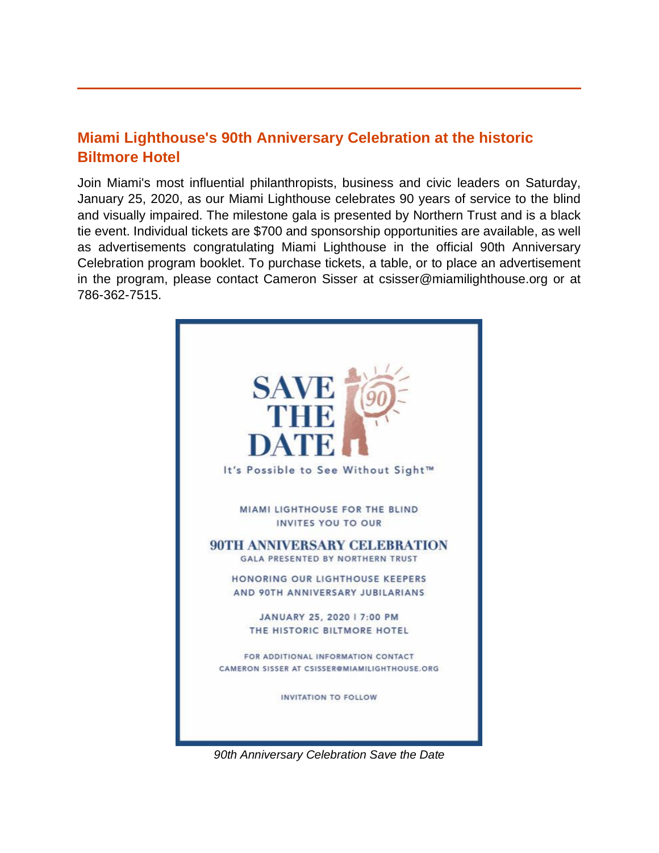### **Miami Lighthouse's 90th Anniversary Celebration at the historic Biltmore Hotel**

Join Miami's most influential philanthropists, business and civic leaders on Saturday, January 25, 2020, as our Miami Lighthouse celebrates 90 years of service to the blind and visually impaired. The milestone gala is presented by Northern Trust and is a black tie event. Individual tickets are \$700 and sponsorship opportunities are available, as well as advertisements congratulating Miami Lighthouse in the official 90th Anniversary Celebration program booklet. To purchase tickets, a table, or to place an advertisement in the program, please contact Cameron Sisser at csisser@miamilighthouse.org or at 786-362-7515.



*90th Anniversary Celebration Save the Date*